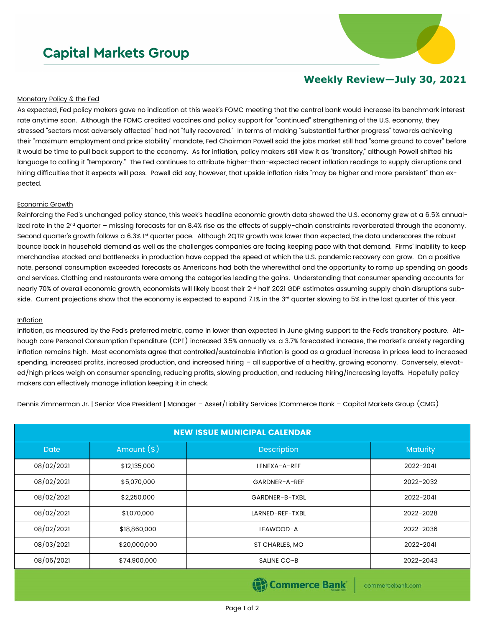# **Capital Markets Group**



## **Weekly Review—July 30, 2021**

#### Monetary Policy & the Fed

As expected, Fed policy makers gave no indication at this week's FOMC meeting that the central bank would increase its benchmark interest rate anytime soon. Although the FOMC credited vaccines and policy support for "continued" strengthening of the U.S. economy, they stressed "sectors most adversely affected" had not "fully recovered." In terms of making "substantial further progress" towards achieving their "maximum employment and price stability" mandate, Fed Chairman Powell said the jobs market still had "some ground to cover" before it would be time to pull back support to the economy. As for inflation, policy makers still view it as "transitory," although Powell shifted his language to calling it "temporary." The Fed continues to attribute higher-than-expected recent inflation readings to supply disruptions and hiring difficulties that it expects will pass. Powell did say, however, that upside inflation risks "may be higher and more persistent" than expected.

#### Economic Growth

Reinforcing the Fed's unchanged policy stance, this week's headline economic growth data showed the U.S. economy grew at a 6.5% annualized rate in the 2<sup>nd</sup> quarter – missing forecasts for an 8.4% rise as the effects of supply-chain constraints reverberated through the economy. Second quarter's growth follows a 6.3% 1<sup>st</sup> quarter pace. Although 2QTR growth was lower than expected, the data underscores the robust bounce back in household demand as well as the challenges companies are facing keeping pace with that demand. Firms' inability to keep merchandise stocked and bottlenecks in production have capped the speed at which the U.S. pandemic recovery can grow. On a positive note, personal consumption exceeded forecasts as Americans had both the wherewithal and the opportunity to ramp up spending on goods and services. Clothing and restaurants were among the categories leading the gains. Understanding that consumer spending accounts for nearly 70% of overall economic growth, economists will likely boost their 2<sup>nd</sup> half 2021 GDP estimates assuming supply chain disruptions subside. Current projections show that the economy is expected to expand 7.1% in the 3<sup>rd</sup> quarter slowing to 5% in the last quarter of this year.

### Inflation

Inflation, as measured by the Fed's preferred metric, came in lower than expected in June giving support to the Fed's transitory posture. Although core Personal Consumption Expenditure (CPE) increased 3.5% annually vs. a 3.7% forecasted increase, the market's anxiety regarding inflation remains high. Most economists agree that controlled/sustainable inflation is good as a gradual increase in prices lead to increased spending, increased profits, increased production, and increased hiring – all supportive of a healthy, growing economy. Conversely, elevated/high prices weigh on consumer spending, reducing profits, slowing production, and reducing hiring/increasing layoffs. Hopefully policy makers can effectively manage inflation keeping it in check.

Dennis Zimmerman Jr. | Senior Vice President | Manager – Asset/Liability Services |Commerce Bank – Capital Markets Group (CMG)

| <b>NEW ISSUE MUNICIPAL CALENDAR</b> |              |                    |           |  |  |  |  |
|-------------------------------------|--------------|--------------------|-----------|--|--|--|--|
| <b>Date</b>                         | Amount $(*)$ | <b>Description</b> | Maturity  |  |  |  |  |
| 08/02/2021                          | \$12,135,000 | LENEXA-A-REF       | 2022-2041 |  |  |  |  |
| 08/02/2021                          | \$5,070,000  | GARDNER-A-REF      | 2022-2032 |  |  |  |  |
| 08/02/2021                          | \$2,250,000  | GARDNER-B-TXBL     | 2022-2041 |  |  |  |  |
| 08/02/2021                          | \$1,070,000  | LARNED-REF-TXBL    | 2022-2028 |  |  |  |  |
| 08/02/2021                          | \$18,860,000 | LEAWOOD-A          | 2022-2036 |  |  |  |  |
| 08/03/2021                          | \$20,000,000 | ST CHARLES, MO     | 2022-2041 |  |  |  |  |
| 08/05/2021                          | \$74,900,000 | SALINE CO-B        | 2022-2043 |  |  |  |  |

**Commerce Bank** 

commercebank.com